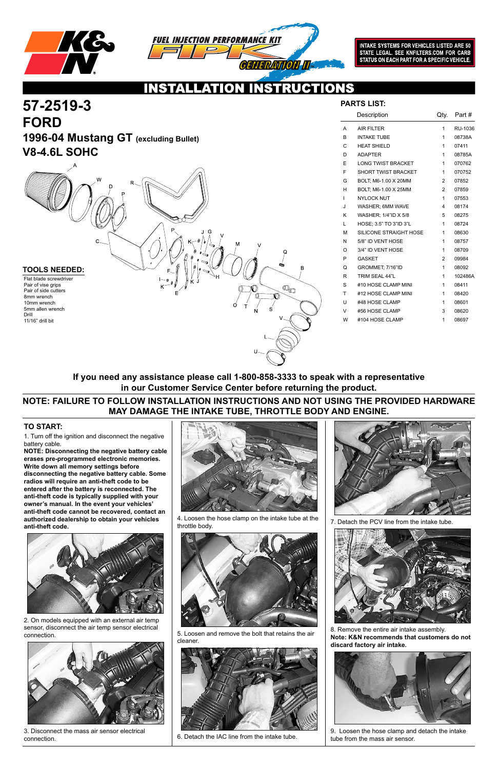

**57-2519-3**



INTAKE SYSTEMS FOR VEHICLES LISTED ARE 50<br>STATE LEGAL. SEE KNFILTERS.COM FOR CARB STATUS ON EACH PART FOR A SPECIFIC VEHICLE.

### IONS CI 74

1. Turn off the ignition and disconnect the negative battery cable.

**NOTE: Disconnecting the negative battery cable erases pre-programmed electronic memories. Write down all memory settings before disconnecting the negative battery cable. Some radios will require an anti-theft code to be entered after the battery is reconnected. The anti-theft code is typically supplied with your owner's manual. In the event your vehicles' anti-theft code cannot be recovered, contact an authorized dealership to obtain your vehicles anti-theft code.**



### **TO START:**

|              | Description                | Qty.           | Part #  |
|--------------|----------------------------|----------------|---------|
| A            | <b>AIR FILTER</b>          | 1              | RU-1036 |
| B            | <b>INTAKE TUBE</b>         | 1              | 08738A  |
| $\mathsf{C}$ | <b>HEAT SHIELD</b>         | 1              | 07411   |
| D            | <b>ADAPTER</b>             | 1              | 08785A  |
| E            | <b>LONG TWIST BRACKET</b>  | 1              | 070762  |
| F            | <b>SHORT TWIST BRACKET</b> | 1              | 070752  |
| G            | BOLT, M6-1.00 X 20MM       | $\overline{2}$ | 07852   |
| н            | BOLT; M6-1.00 X 25MM       | $\overline{2}$ | 07859   |
| $\mathbf{I}$ | <b>NYLOCK NUT</b>          | 1              | 07553   |
| J            | WASHER; 6MM WAVE           | 4              | 08174   |
| K            | WASHER; 1/4"ID X 5/8       | 5              | 08275   |
| L            | HOSE: 3.5" TO 3"ID 3"L     | 1              | 08724   |
| M            | SILICONE STRAIGHT HOSE     | 1              | 08630   |
| N            | 5/8" ID VENT HOSE          | 1              | 08757   |
| $\Omega$     | 3/4" ID VENT HOSE          | 1              | 08709   |
| P            | <b>GASKET</b>              | 2              | 09984   |
| Q            | GROMMET; 7/16"ID           | 1              | 08092   |
| R            | TRIM SEAL 44"L             | 1              | 102486A |
| S            | #10 HOSE CLAMP MINI        | 1              | 08411   |
| T            | #12 HOSE CLAMP MINI        | 1              | 08420   |
| U            | #48 HOSE CLAMP             | 1              | 08601   |
| V            | #56 HOSE CLAMP             | 3              | 08620   |
| W            | #104 HOSE CLAMP            | 1              | 08697   |

| <b>FORD</b><br><b>V8-4.6L SOHC</b>                                                                                                                                         | 1996-04 Mustang GT (excluding Bullet) |                                                                                                |
|----------------------------------------------------------------------------------------------------------------------------------------------------------------------------|---------------------------------------|------------------------------------------------------------------------------------------------|
|                                                                                                                                                                            | W<br>R.<br>D<br>Р<br>. @<br>C         | G<br>M<br>☜<br>Q<br>☜                                                                          |
| <b>TOOLS NEEDED:</b><br>Flat blade screwdriver<br>Pair of vise grips<br>Pair of side cutters<br>8mm wrench<br>10mm wrench<br>5mm allen wrench<br>Drill<br>11/16" drill bit | $-0$<br>κJ<br>K <sup>-</sup>          | €<br>B<br>н<br>$\overline{\mathbb{O}}_{\textsf{O}}$<br>♦<br>O)<br>$\overline{\mathbf{s}}$<br>N |

## **PARTS LIST:**

2. On models equipped with an external air temp sensor, disconnect the air temp sensor electrical connection.



3. Disconnect the mass air sensor electrical connection.



4. Loosen the hose clamp on the intake tube at the throttle body.



5. Loosen and remove the bolt that retains the air cleaner.



6. Detach the IAC line from the intake tube.



7. Detach the PCV line from the intake tube.



8. Remove the entire air intake assembly. **Note: K&N recommends that customers do not discard factory air intake.**



9. Loosen the hose clamp and detach the intake tube from the mass air sensor.

## **NOTE: FAILURE TO FOLLOW INSTALLATION INSTRUCTIONS AND NOT USING THE PROVIDED HARDWARE MAY DAMAGE THE INTAKE TUBE, THROTTLE BODY AND ENGINE.**

## **If you need any assistance please call 1-800-858-3333 to speak with a representative in our Customer Service Center before returning the product.**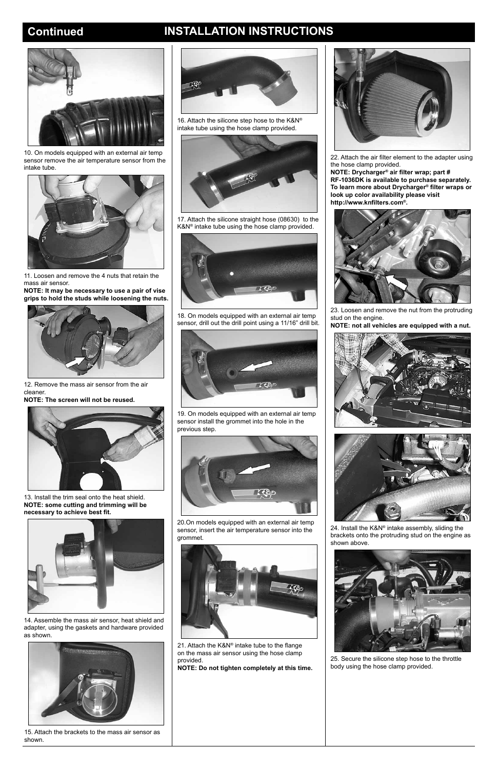# **Continued INSTALLATION INSTRUCTIONS**



10. On models equipped with an external air temp sensor remove the air temperature sensor from the intake tube.



11. Loosen and remove the 4 nuts that retain the mass air sensor.

**NOTE: It may be necessary to use a pair of vise grips to hold the studs while loosening the nuts.**



12. Remove the mass air sensor from the air cleaner.

**NOTE: The screen will not be reused.**



13. Install the trim seal onto the heat shield. **NOTE: some cutting and trimming will be necessary to achieve best fit.**





14. Assemble the mass air sensor, heat shield and adapter, using the gaskets and hardware provided as shown.



15. Attach the brackets to the mass air sensor as shown.

16. Attach the silicone step hose to the K&N® intake tube using the hose clamp provided.



17. Attach the silicone straight hose (08630) to the K&N® intake tube using the hose clamp provided.



18. On models equipped with an external air temp sensor, drill out the drill point using a 11/16" drill bit.



19. On models equipped with an external air temp sensor install the grommet into the hole in the previous step.



20.On models equipped with an external air temp sensor, insert the air temperature sensor into the grommet.





21. Attach the K&N® intake tube to the flange on the mass air sensor using the hose clamp provided.

**NOTE: Do not tighten completely at this time.**

22. Attach the air filter element to the adapter using the hose clamp provided.

**NOTE: Drycharger® air filter wrap; part # RF-1036DK is available to purchase separately. To learn more about Drycharger® filter wraps or look up color availability please visit http://www.knfilters.com®.**



23. Loosen and remove the nut from the protruding stud on the engine.

**NOTE: not all vehicles are equipped with a nut.**





24. Install the K&N® intake assembly, sliding the brackets onto the protruding stud on the engine as shown above.



25. Secure the silicone step hose to the throttle body using the hose clamp provided.